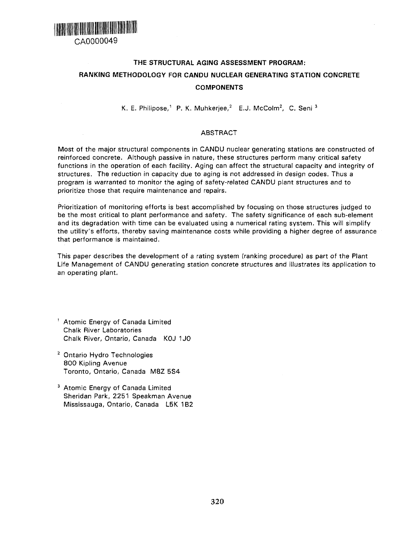

# **THE STRUCTURAL AGING ASSESSMENT PROGRAM: RANKING METHODOLOGY FOR CANDU NUCLEAR GENERATING STATION CONCRETE COMPONENTS**

K. E. Philipose,<sup>1</sup> P. K. Muhkerjee,<sup>2</sup> E.J. McColm<sup>2</sup>, C. Seni <sup>3</sup>

## ABSTRACT

Most of the major structural components in CANDU nuclear generating stations are constructed of reinforced concrete. Although passive in nature, these structures perform many critical safety functions in the operation of each facility. Aging can affect the structural capacity and integrity of structures. The reduction in capacity due to aging is not addressed in design codes. Thus a program is warranted to monitor the aging of safety-related CANDU plant structures and to prioritize those that require maintenance and repairs.

Prioritization of monitoring efforts is best accomplished by focusing on those structures judged to be the most critical to plant performance and safety. The safety significance of each sub-element and its degradation with time can be evaluated using a numerical rating system. This will simplify the utility's efforts, thereby saving maintenance costs while providing a higher degree of assurance that performance is maintained.

This paper describes the development of a rating system (ranking procedure) as part of the Plant Life Management of CANDU generating station concrete structures and illustrates its application to an operating plant.

- 1 Atomic Energy of Canada Limited Chalk River Laboratories Chalk River, Ontario, Canada KOJ 1J0
- <sup>2</sup> Ontario Hydro Technologies 800 Kipling Avenue Toronto, Ontario, Canada M8Z 5S4
- <sup>3</sup> Atomic Energy of Canada Limited Sheridan Park, 2251 Speakman Avenue Mississauga, Ontario, Canada L5K 1B2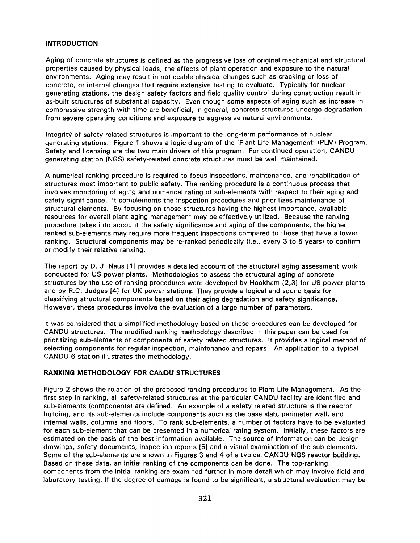#### **INTRODUCTION**

Aging of concrete structures is defined as the progressive loss of original mechanical and structural properties caused by physical loads, the effects of plant operation and exposure to the natural environments. Aging may result in noticeable physical changes such as cracking or loss of concrete, or internal changes that require extensive testing to evaluate. Typically for nuclear generating stations, the design safety factors and field quality control during construction result in as-built structures of substantial capacity. Even though some aspects of aging such as increase in compressive strength with time are beneficial, in general, concrete structures undergo degradation from severe operating conditions and exposure to aggressive natural environments.

Integrity of safety-related structures is important to the long-term performance of nuclear generating stations. Figure 1 shows a logic diagram of the 'Plant Life Management' (PLM) Program. Safety and licensing are the two main drivers of this program. For continued operation, CANDU generating station (NGS) safety-related concrete structures must be well maintained.

A numerical ranking procedure is required to focus inspections, maintenance, and rehabilitation of structures most important to public safety. The ranking procedure is a continuous process that involves monitoring of aging and numerical rating of sub-elements with respect to their aging and safety significance. It complements the inspection procedures and prioritizes maintenance of structural elements. By focusing on those structures having the highest importance, available resources for overall plant aging management may be effectively utilized. Because the ranking procedure takes into account the safety significance and aging of the components, the higher ranked sub-elements may require more frequent inspections compared to those that have a lower ranking. Structural components may be re-ranked periodically (i.e., every 3 to 5 years) to confirm or modify their relative ranking.

The report by D. J. Naus [1] provides a detailed account of the structural aging assessment work conducted for US power plants. Methodologies to assess the structural aging of concrete structures by the use of ranking procedures were developed by Hookham [2,3] for US power plants and by R.C. Judges [4] for UK power stations. They provide a logical and sound basis for classifying structural components based on their aging degradation and safety significance. However, these procedures involve the evaluation of a large number of parameters.

It was considered that a simplified methodology based on these procedures can be developed for CANDU structures. The modified ranking methodology described in this paper can be used for prioritizing sub-elements or components of safety related structures. It provides a logical method of selecting components for regular inspection, maintenance and repairs. An application to a typical CANDU 6 station illustrates the methodology.

#### **RANKING METHODOLOGY FOR CANDU STRUCTURES**

Figure 2 shows the relation of the proposed ranking procedures to Plant Life Management. As the first step in ranking, all safety-related structures at the particular CANDU facility are identified and sub-elements (components) are defined. An example of a safety related structure is the reactor building, and its sub-elements include components such as the base slab, perimeter wall, and internal walls, columns and floors. To rank sub-elements, a number of factors have to be evaluated for each sub-element that can be presented in a numerical rating system. Initially, these factors are estimated on the basis of the best information available. The source of information can be design drawings, safety documents, inspection reports [5] and a visual examination of the sub-elements. Some of the sub-elements are shown in Figures 3 and 4 of a typical CANDU NGS reactor building. Based on these data, an initial ranking of the components can be done. The top-ranking components from the initial ranking are examined further in more detail which may involve field and laboratory testing. If the degree of damage is found to be significant, a structural evaluation may be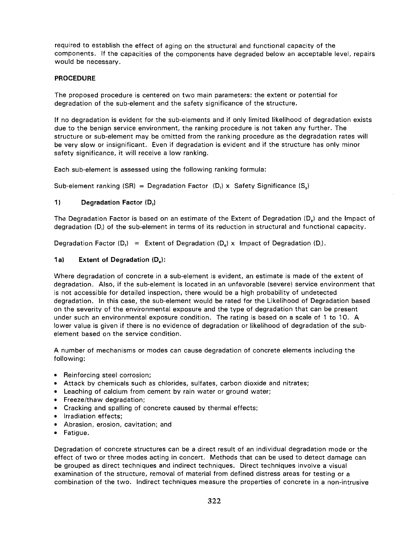required to establish the effect of aging on the structural and functional capacity of the components. If the capacities of the components have degraded below an acceptable level, repairs would be necessary.

#### **PROCEDURE**

The proposed procedure is centered on two main parameters: the extent or potential for degradation of the sub-element and the safety significance of the structure.

If no degradation is evident for the sub-elements and if only limited likelihood of degradation exists due to the benign service environment, the ranking procedure is not taken any further. The structure or sub-element may be omitted from the ranking procedure as the degradation rates will be very slow or insignificant. Even if degradation is evident and if the structure has only minor safety significance, it will receive a low ranking.

Each sub-element is assessed using the following ranking formula:

Sub-element ranking (SR) = Degradation Factor  $(D_i) \times$  Safety Significance (S<sub>s</sub>)

#### **1) Degradation Factor (Df)**

The Degradation Factor is based on an estimate of the Extent of Degradation  $(D_e)$  and the Impact of degradation (D;) of the sub-element in terms of its reduction in structural and functional capacity.

Degradation Factor  $(D_i) =$  Extent of Degradation  $(D_i)$  x Impact of Degradation  $(D_i)$ .

#### **1a) Extent of Degradation (De):**

Where degradation of concrete in a sub-element is evident, an estimate is made of the extent of degradation. Also, if the sub-element is located in an unfavorable (severe) service environment that is not accessible for detailed inspection, there would be a high probability of undetected degradation. In this case, the sub-element would be rated for the Likelihood of Degradation based on the severity of the environmental exposure and the type of degradation that can be present under such an environmental exposure condition. The rating is based on a scale of 1 to 10. A lower value is given if there is no evidence of degradation or likelihood of degradation of the subelement based on the service condition.

A number of mechanisms or modes can cause degradation of concrete elements including the following:

- Reinforcing steel corrosion;
- Attack by chemicals such as chlorides, sulfates, carbon dioxide and nitrates;
- Leaching of calcium from cement by rain water or ground water;
- Freeze/thaw degradation;
- Cracking and spalling of concrete caused by thermal effects;
- Irradiation effects;
- Abrasion, erosion, cavitation; and
- Fatigue.

Degradation of concrete structures can be a direct result of an individual degradation mode or the effect of two or three modes acting in concert. Methods that can be used to detect damage can be grouped as direct techniques and indirect techniques. Direct techniques involve a visual examination of the structure, removal of material from defined distress areas for testing or a combination of the two. Indirect techniques measure the properties of concrete in a non-intrusive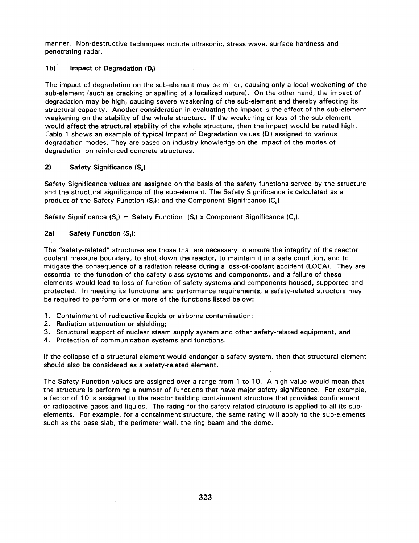manner. Non-destructive techniques include ultrasonic, stress wave, surface hardness and penetrating radar.

## **1b) Impact of Degradation (D,)**

The impact of degradation on the sub-element may be minor, causing only a local weakening of the sub-element (such as cracking or spalling of a localized nature). On the other hand, the impact of degradation may be high, causing severe weakening of the sub-element and thereby affecting its structural capacity. Another consideration in evaluating the impact is the effect of the sub-element weakening on the stability of the whole structure. If the weakening or loss of the sub-element would affect the structural stability of the whole structure, then the impact would be rated high. Table 1 shows an example of typical Impact of Degradation values (D,) assigned to various degradation modes. They are based on industry knowledge on the impact of the modes of degradation on reinforced concrete structures.

# **2) Safety Significance (S,)**

Safety Significance values are assigned on the basis of the safety functions served by the structure and the structural significance of the sub-element. The Safety Significance is calculated as a product of the Safety Function  $(S_i)$ : and the Component Significance  $(C_s)$ .

Safety Significance  $(S_n)$  = Safety Function  $(S_n)$  x Component Significance  $(C_n)$ .

# **2a) Safety Function (Sf):**

The "safety-related" structures are those that are necessary to ensure the integrity of the reactor coolant pressure boundary, to shut down the reactor, to maintain it in a safe condition, and to mitigate the consequence of a radiation release during a loss-of-coolant accident (LOCA). They are essential to the function of the safety class systems and components, and a failure of these elements would lead to loss of function of safety systems and components housed, supported and protected. In meeting its functional and performance requirements, a safety-related structure may be required to perform one or more of the functions listed below:

- 1. Containment of radioactive liquids or airborne contamination;
- 2. Radiation attenuation or shielding;
- 3. Structural support of nuclear steam supply system and other safety-related equipment, and
- 4. Protection of communication systems and functions.

If the collapse of a structural element would endanger a safety system, then that structural element should also be considered as a safety-related element.

The Safety Function values are assigned over a range from 1 to 10. A high value would mean that the structure is performing a number of functions that have major safety significance. For example, a factor of 10 is assigned to the reactor building containment structure that provides confinement of radioactive gases and liquids. The rating for the safety-related structure is applied to all its subelements. For example, for a containment structure, the same rating will apply to the sub-elements such as the base slab, the perimeter wall, the ring beam and the dome.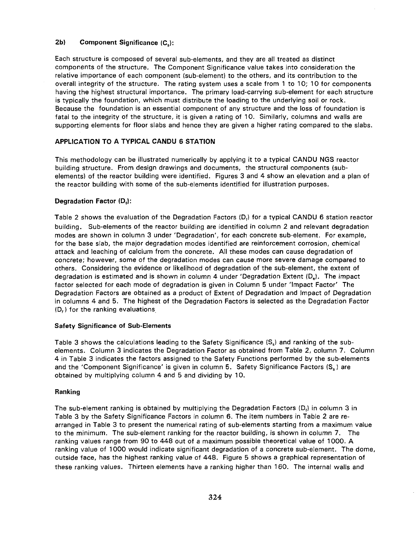#### **2b) Component Significance (Cs):**

Each structure is composed of several sub-elements, and they are all treated as distinct components of the structure. The Component Significance value takes into consideration the relative importance of each component (sub-element) to the others, and its contribution to the overall integrity of the structure. The rating system uses a scale from 1 to 10; 10 for components having the highest structural importance. The primary load-carrying sub-element for each structure is typically the foundation, which must distribute the loading to the underlying soil or rock. Because the foundation is an essential component of any structure and the loss of foundation is fatal to the integrity of the structure, it is given a rating of 10. Similarly, columns and walls are supporting elements for floor slabs and hence they are given a higher rating compared to the slabs.

## **APPLICATION TO A TYPICAL CANDU 6 STATION**

This methodology can be illustrated numerically by applying it to a typical CANDU NGS reactor building structure. From design drawings and documents, the structural components (subelements) of the reactor building were identified. Figures 3 and 4 show an elevation and a plan of the reactor building with some of the sub-elements identified for illustration purposes.

## **Degradation Factor (D,):**

Table 2 shows the evaluation of the Degradation Factors  $(D_i)$  for a typical CANDU 6 station reactor building. Sub-elements of the reactor building are identified in column 2 and relevant degradation modes are shown in column 3 under 'Degradation', for each concrete sub-element. For example, for the base slab, the major degradation modes identified are reinforcement corrosion, chemical attack and leaching of calcium from the concrete. All these modes can cause degradation of concrete; however, some of the degradation modes can cause more severe damage compared to others. Considering the evidence or likelihood of degradation of the sub-element, the extent of degradation is estimated and is shown in column 4 under 'Degradation Extent  $(D_n)$ . The impact factor selected for each mode of degradation is given in Column 5 under 'Impact Factor' The Degradation Factors are obtained as a product of Extent of Degradation and Impact of Degradation in columns 4 and 5. The highest of the Degradation Factors is selected as the Degradation Factor (D,) for the ranking evaluations

## **Safety Significance of Sub-Elements**

Table 3 shows the calculations leading to the Safety Significance  $(S_s)$  and ranking of the subelements. Column 3 indicates the Degradation Factor as obtained from Table 2, column 7. Column 4 in Table 3 indicates the factors assigned to the Safety Functions performed by the sub-elements and the 'Component Significance' is given in column 5. Safety Significance Factors  $(S_s)$  are obtained by multiplying column 4 and 5 and dividing by 10.

## **Ranking**

The sub-element ranking is obtained by multiplying the Degradation Factors  $(D_i)$  in column 3 in Table 3 by the Safety Significance Factors in column 6. The item numbers in Table 2 are rearranged in Table 3 to present the numerical rating of sub-elements starting from a maximum value to the minimum. The sub-element ranking for the reactor building, is shown in column 7. The ranking values range from 90 to 448 out of a maximum possible theoretical value of 1000. A ranking value of 1000 would indicate significant degradation of a concrete sub-element. The dome, outside face, has the highest ranking value of 448. Figure 5 shows a graphical representation of these ranking values. Thirteen elements have a ranking higher than 160. The internal walls and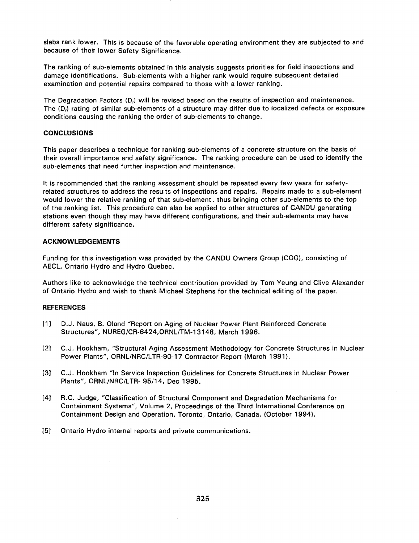slabs rank lower. This is because of the favorable operating environment they are subjected to and because of their lower Safety Significance.

The ranking of sub-elements obtained in this analysis suggests priorities for field inspections and damage identifications. Sub-elements with a higher rank would require subsequent detailed examination and potential repairs compared to those with a lower ranking.

The Degradation Factors (D,) will be revised based on the results of inspection and maintenance. The (D<sub>i</sub>) rating of similar sub-elements of a structure may differ due to localized defects or exposure conditions causing the ranking the order of sub-elements to change.

#### **CONCLUSIONS**

This paper describes a technique for ranking sub-elements of a concrete structure on the basis of their overall importance and safety significance. The ranking procedure can be used to identify the sub-elements that need further inspection and maintenance.

It is recommended that the ranking assessment should be repeated every few years for safetyrelated structures to address the results of inspections and repairs. Repairs made to a sub-element would lower the relative ranking of that sub-element; thus bringing other sub-elements to the top of the ranking list. This procedure can also be applied to other structures of CANDU generating stations even though they may have different configurations, and their sub-elements may have different safety significance.

#### **ACKNOWLEDGEMENTS**

Funding for this investigation was provided by the CANDU Owners Group (COG), consisting of AECL, Ontario Hydro and Hydro Quebec.

Authors like to acknowledge the technical contribution provided by Tom Yeung and Clive Alexander of Ontario Hydro and wish to thank Michael Stephens for the technical editing of the paper.

#### **REFERENCES**

- [1] D.J. Naus, B. Oland "Report on Aging of Nuclear Power Plant Reinforced Concrete Structures", NUREG/CR-6424,0RNL/TM-13148, March 1996.
- [2] C.J. Hookham, "Structural Aging Assessment Methodology for Concrete Structures in Nuclear Power Plants", ORNL/NRC/LTR-90-17 Contractor Report (March 1991).
- [3] C.J. Hookham "In Service Inspection Guidelines for Concrete Structures in Nuclear Power Plants", ORNL/NRC/LTR- 95/14, Dec 1995.
- [4] R.C. Judge, "Classification of Structural Component and Degradation Mechanisms for Containment Systems", Volume 2, Proceedings of the Third International Conference on Containment Design and Operation, Toronto, Ontario, Canada. (October 1994).
- [5] Ontario Hydro internal reports and private communications.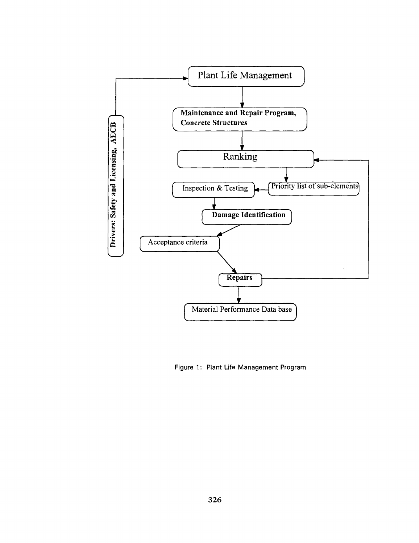

Figure 1: Plant Life Management Program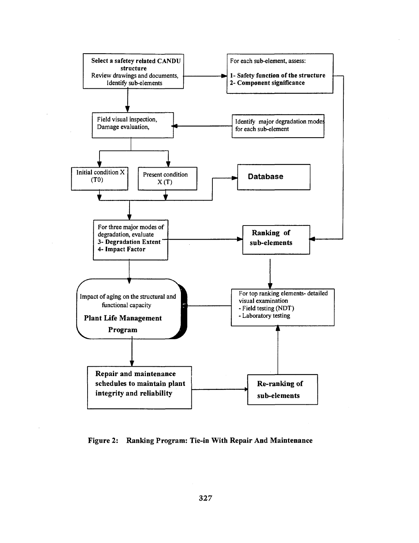

**Figure 2: Ranking Program: Tie-in With Repair And Maintenance**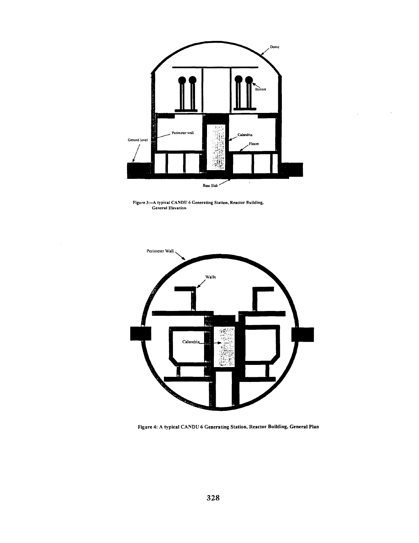





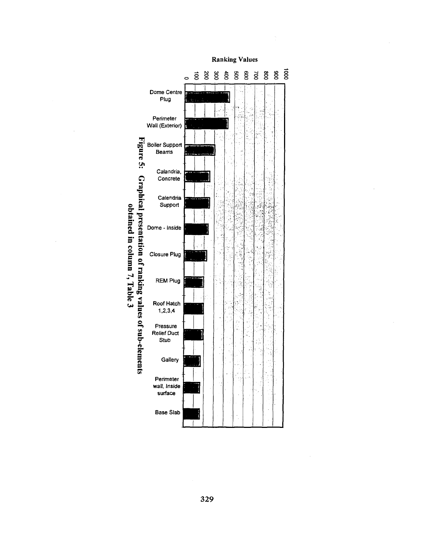

329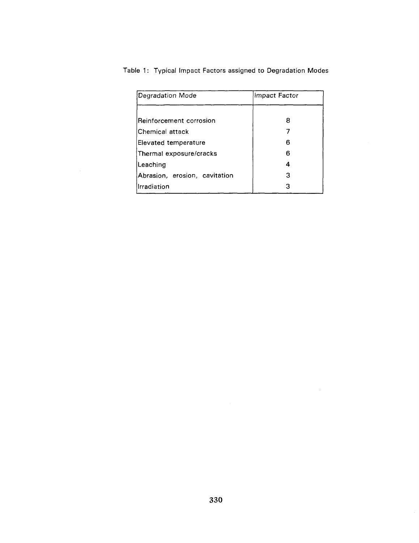| Degradation Mode              | Impact Factor |
|-------------------------------|---------------|
| Reinforcement corrosion       | 8             |
| Chemical attack               |               |
| Elevated temperature          | 6             |
| Thermal exposure/cracks       | 6             |
| Leaching                      | 4             |
| Abrasion, erosion, cavitation | З             |
| Irradiation                   | З             |

Table 1: Typical Impact Factors assigned to Degradation Modes

 $\sim$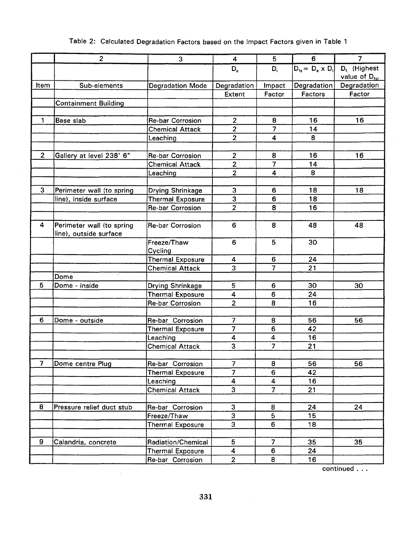# Table 2: Calculated Degradation Factors based on the Impact Factors given in Table 1

|                | $\overline{2}$                                      | 3                       | 4                       | 5                       | 6                         | 7                                      |
|----------------|-----------------------------------------------------|-------------------------|-------------------------|-------------------------|---------------------------|----------------------------------------|
|                |                                                     |                         | $D_{e}$                 | $D_i$                   | $D_{fs} = D_e \times D_i$ | $D_{f.}$ (Highest<br>value of $D_{fs}$ |
| Item           | Sub-elements                                        | <b>Degradation Mode</b> | Degradation<br>Impact   |                         | Degradation               | Degradation                            |
|                |                                                     |                         | Extent                  | Factor                  | <b>Factors</b>            | Factor                                 |
|                | <b>Containment Building</b>                         |                         |                         |                         |                           |                                        |
|                |                                                     |                         |                         |                         |                           |                                        |
| 1              | Base slab                                           | <b>Re-bar Corrosion</b> | $\overline{2}$          | 8                       | 16                        | 16                                     |
|                |                                                     | <b>Chemical Attack</b>  | $\overline{2}$          | $\overline{7}$          | 14                        |                                        |
|                |                                                     | Leaching                | $\overline{2}$          | $\overline{4}$          | 8                         |                                        |
|                |                                                     |                         |                         |                         |                           |                                        |
| $\overline{2}$ | Gallery at level 238' 6"                            | <b>Re-bar Corrosion</b> | $\overline{2}$          | 8                       | 16                        | 16                                     |
|                |                                                     | <b>Chemical Attack</b>  | $\overline{2}$          | $\overline{7}$          | 14                        |                                        |
|                |                                                     | Leaching                | $\overline{2}$          | $\overline{\mathbf{4}}$ | 8                         |                                        |
|                |                                                     |                         |                         |                         |                           |                                        |
| 3              | Perimeter wall (to spring                           | Drying Shrinkage        | 3                       | 6                       | 18                        | 18                                     |
|                | line), inside surface                               | <b>Thermal Exposure</b> | 3                       | 6                       | 18                        |                                        |
|                |                                                     | <b>Re-bar Corrosion</b> | $\overline{2}$          | 8                       | 16                        |                                        |
|                |                                                     |                         |                         |                         |                           |                                        |
| 4              | Perimeter wall (to spring<br>line), outside surface | <b>Re-bar Corrosion</b> | 6                       | 8                       | 48                        | 48                                     |
|                |                                                     | Freeze/Thaw<br>Cycling  | 6                       | 5                       | 30                        |                                        |
|                |                                                     | <b>Thermal Exposure</b> | 4                       | 6                       | 24                        |                                        |
|                |                                                     | <b>Chemical Attack</b>  | 3                       | $\overline{\mathbf{7}}$ | 21                        |                                        |
|                | Dome                                                |                         |                         |                         |                           |                                        |
| 5              | Dome - inside                                       | Drying Shrinkage        | 5                       | 6                       | 30                        | 30                                     |
|                |                                                     | <b>Thermal Exposure</b> | 4                       | 6                       | 24                        |                                        |
|                |                                                     | <b>Re-bar Corrosion</b> | $\overline{2}$          | 8                       | 16                        |                                        |
|                |                                                     |                         |                         |                         |                           |                                        |
| 6              | Dome - outside                                      | Re-bar Corrosion        | 7                       | 8                       | 56                        | 56                                     |
|                |                                                     | <b>Thermal Exposure</b> | $\overline{7}$          | 6                       | 42                        |                                        |
|                |                                                     | Leaching                | 4                       | 4                       | 16                        |                                        |
|                |                                                     | <b>Chemical Attack</b>  | 3                       | $\overline{7}$          | 21                        |                                        |
|                |                                                     |                         |                         |                         |                           |                                        |
| $\overline{7}$ | Dome centre Plug                                    | Re-bar Corrosion        | $\overline{7}$          | 8                       | 56                        | 56                                     |
|                |                                                     | <b>Thermal Exposure</b> | $\overline{7}$          | $6\overline{6}$         | 42                        |                                        |
|                |                                                     | Leaching                | $\overline{\mathbf{4}}$ | $\overline{4}$          | 16                        |                                        |
|                |                                                     | <b>Chemical Attack</b>  | 3                       | $\overline{7}$          | 21                        |                                        |
|                |                                                     |                         |                         |                         |                           |                                        |
| 8              | Pressure relief duct stub                           | Re-bar Corrosion        | 3                       | 8                       | 24                        | 24                                     |
|                |                                                     | Freeze/Thaw             | 3                       | 5                       | 15                        |                                        |
|                |                                                     | <b>Thermal Exposure</b> | 3                       | 6                       | 18                        |                                        |
|                |                                                     |                         |                         |                         |                           |                                        |
| 9              | Calandria, concrete                                 | Radiation/Chemical      | 5                       | $\overline{7}$          | 35                        | 35                                     |
|                |                                                     | <b>Thermal Exposure</b> | 4                       | 6                       | 24                        |                                        |
|                |                                                     | Re-bar Corrosion        | $\overline{2}$          | 8                       | 16                        |                                        |

continued . . .

 $\sim 10^{11}$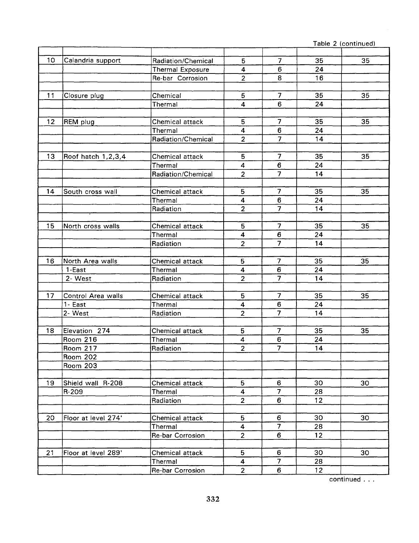<u>Table 2 (continued)</u>

| 10      | Calandria support   | Radiation/Chemical | 5                       | 7                       | 35              | 35 |
|---------|---------------------|--------------------|-------------------------|-------------------------|-----------------|----|
|         |                     | Thermal Exposure   | 4                       | 6                       | 24              |    |
|         |                     | Re-bar Corrosion   | $\overline{2}$          | 8                       | 16              |    |
|         |                     |                    |                         |                         |                 |    |
| 11      | Closure plug        | Chemical           | 5                       | $\overline{7}$          | 35              | 35 |
|         |                     | Thermal            | $\overline{\mathbf{4}}$ | 6                       | 24              |    |
|         |                     |                    |                         |                         |                 |    |
| $12 \,$ | REM plug            | Chemical attack    | 5                       | $\overline{7}$          | 35              | 35 |
|         |                     | Thermal            | 4                       | 6                       | 24              |    |
|         |                     | Radiation/Chemical | $\overline{2}$          | $\overline{7}$          | 14              |    |
|         |                     |                    |                         |                         |                 |    |
| 13      | Roof hatch 1,2,3,4  | Chemical attack    | 5                       | $\overline{7}$          | 35              | 35 |
|         |                     | Thermal            | 4                       | 6                       | 24              |    |
|         |                     | Radiation/Chemical | $\overline{2}$          | $\overline{7}$          | 14              |    |
|         |                     |                    |                         |                         |                 |    |
| 14      | South cross wall    | Chemical attack    | 5                       | $\overline{7}$          | 35              | 35 |
|         |                     | Thermal            | 4                       | 6                       | 24              |    |
|         |                     | Radiation          | $\overline{2}$          | $\overline{7}$          | 14              |    |
|         |                     |                    |                         |                         |                 |    |
| 15      | North cross walls   | Chemical attack    | 5                       | $\overline{7}$          | 35              | 35 |
|         |                     | Thermal            | 4                       | 6                       | 24              |    |
|         |                     | Radiation          | $\overline{2}$          | $\overline{7}$          | 14              |    |
|         |                     |                    |                         |                         |                 |    |
| 16      | North Area walls    | Chemical attack    | 5                       | $\overline{7}$          | 35              | 35 |
|         | 1-East              | Thermal            | 4                       | 6                       | 24              |    |
|         | 2- West             | Radiation          | $\overline{2}$          | $\overline{7}$          | 14              |    |
|         |                     |                    |                         |                         |                 |    |
| 17      | Control Area walls  | Chemical attack    | 5.                      | $\overline{7}$          | 35              | 35 |
|         | 1- East             | Thermal            | 4                       | 6                       | 24              |    |
|         | 2- West             | Radiation          | $\overline{2}$          | $\overline{7}$          | 14              |    |
|         |                     |                    |                         |                         |                 |    |
| 18      | Elevation 274       | Chemical attack    | 5                       | $\overline{7}$          | 35              | 35 |
|         | Room 216            | Thermal            | 4                       | 6                       | 24              |    |
|         | Room 217            | Radiation          | $\overline{2}$          | $\overline{\mathbf{z}}$ | 14              |    |
|         | Room 202            |                    |                         |                         |                 |    |
|         | <b>Room 203</b>     |                    |                         |                         |                 |    |
|         |                     |                    |                         |                         |                 |    |
| 19      | Shield wall R-208   | Chemical attack    | 5                       | 6                       | 30              | 30 |
|         | R-209               | Thermal            | $\overline{\mathbf{4}}$ | $\overline{7}$          | 28              |    |
|         |                     | Radiation          | $\overline{2}$          | 6                       | 12 <sub>2</sub> |    |
|         |                     |                    |                         |                         |                 |    |
| 20      | Floor at level 274' | Chemical attack    | 5                       | 6                       | 30              | 30 |
|         |                     | Thermal            | $\overline{\mathbf{4}}$ | $\overline{7}$          | 28              |    |
|         |                     | Re-bar Corrosion   | $\overline{2}$          | 6                       | 12              |    |
|         |                     |                    |                         |                         |                 |    |
| 21      | Floor at level 289' | Chemical attack    | 5                       | 6                       | 30              | 30 |
|         |                     | Thermal            | 4                       | $\overline{7}$          | 28              |    |
|         |                     | Re-bar Corrosion   | $\overline{2}$          | 6                       | 12              |    |

continued . . .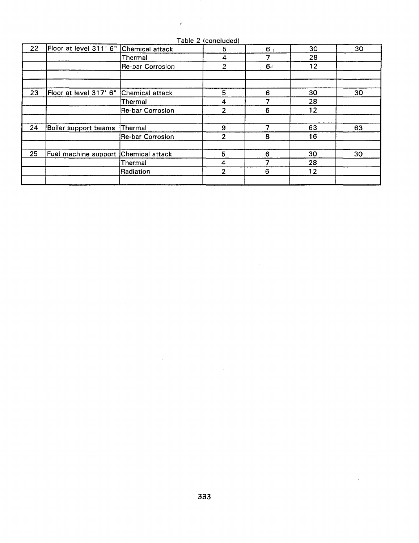| 22 | Floor at level 311' 6" | Chemical attack         | 5              | 6 <sub>1</sub> | 30              | 30 |
|----|------------------------|-------------------------|----------------|----------------|-----------------|----|
|    |                        | Thermal                 | 4              |                | 28              |    |
|    |                        | Re-bar Corrosion        | $\overline{2}$ | $6 -$          | 12              |    |
|    |                        |                         |                |                |                 |    |
| 23 | Floor at level 317' 6" | Chemical attack         | 5              | 6              | 30              | 30 |
|    |                        | Thermal                 | 4              |                | 28              |    |
|    |                        | Re-bar Corrosion        | $\overline{2}$ | 6              | 12              |    |
| 24 | Boiler support beams   | Thermal                 | 9              | 7              | 63              | 63 |
|    |                        | <b>Re-bar Corrosion</b> | $\overline{2}$ | 8              | 16              |    |
| 25 | Fuel machine support   | Chemical attack         | 5              | 6              | 30              | 30 |
|    |                        | Thermal                 | 4              |                | 28              |    |
|    |                        | Radiation               | $\mathbf{2}$   | 6              | 12 <sub>2</sub> |    |
|    |                        |                         |                |                |                 |    |

Table 2 (concluded)

- 7

 $\hat{\mathcal{G}}$ 

 $\bar{\alpha}$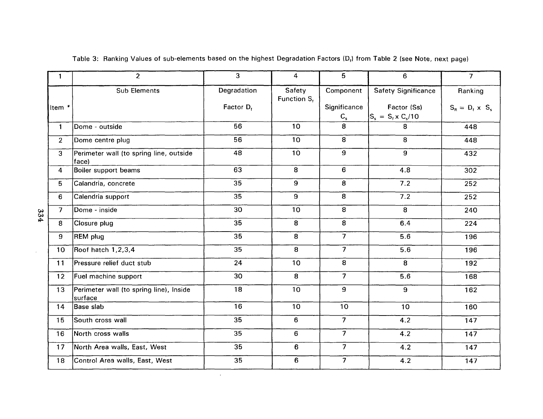| 1                 | $\overline{2}$                                     | $\overline{3}$  | $\overline{4}$           | 5 <sup>5</sup>          | $6\phantom{1}$                           | $\overline{7}$         |
|-------------------|----------------------------------------------------|-----------------|--------------------------|-------------------------|------------------------------------------|------------------------|
|                   | <b>Sub Elements</b>                                | Degradation     | Safety<br>Function $S_t$ | Component               | <b>Safety Significance</b>               | Ranking                |
| Item <sup>*</sup> |                                                    | Factor $D_f$    |                          | Significance<br>$C_{s}$ | Factor (Ss)<br>$S_s = S_t \times C_s/10$ | $S_R = D_t \times S_s$ |
| $\mathbf{1}$      | Dome - outside                                     | 56              | 10 <sub>1</sub>          | 8                       | 8                                        | 448                    |
| 2 <sup>1</sup>    | Dome centre plug                                   | 56              | 10 <sup>1</sup>          | $\overline{8}$          | 8                                        | 448                    |
| $\overline{3}$    | Perimeter wall (to spring line, outside<br>face)   | 48              | 10                       | $\overline{9}$          | $\overline{9}$                           | 432                    |
| 4                 | Boiler support beams                               | 63              | $\overline{8}$           | 6                       | 4.8                                      | 302                    |
| 5                 | Calandria, concrete                                | $\overline{35}$ | 9                        | 8                       | 7.2                                      | 252                    |
| 6                 | Calendria support                                  | 35              | 9                        | $\overline{8}$          | 7.2                                      | 252                    |
| $\overline{7}$    | Dome - inside                                      | 30              | 10                       | $\overline{8}$          | $\overline{8}$                           | 240                    |
| 8                 | Closure plug                                       | 35              | 8                        | $\overline{8}$          | 6.4                                      | 224                    |
| 9                 | <b>REM</b> plug                                    | 35              | 8                        | $\overline{7}$          | 5.6                                      | 196                    |
| 10 <sub>1</sub>   | Roof hatch 1,2,3,4                                 | 35              | 8                        | $\overline{7}$          | 5.6                                      | 196                    |
| 11                | Pressure relief duct stub                          | 24              | 10 <sup>°</sup>          | 8                       | 8                                        | 192                    |
| 12 <sub>2</sub>   | Fuel machine support                               | 30              | 8                        | $7^{\circ}$             | 5.6                                      | 168                    |
| 13                | Perimeter wall (to spring line), Inside<br>surface | 18              | 10 <sub>1</sub>          | 9                       | $\overline{9}$                           | 162                    |
| 14                | Base slab                                          | 16              | 10                       | 10                      | 10                                       | 160                    |
| 15                | South cross wall                                   | 35              | 6                        | 7 <sup>1</sup>          | 4.2                                      | 147                    |
| 16                | North cross walls                                  | 35              | 6                        |                         | 4.2                                      | 147                    |
| 17                | North Area walls, East, West                       | 35              | 6                        | $\overline{7}$          | 4.2                                      | 147                    |
| 18                | Control Area walls, East, West                     | 35              | 6                        | 7 <sup>2</sup>          | 4.2                                      | 147                    |

 $\sim 100$ 

Table 3: Ranking Values of sub-elements based on the highest Degradation Factors (D<sub>f</sub>) from Table 2 (see Note, next page)

 $\sim$